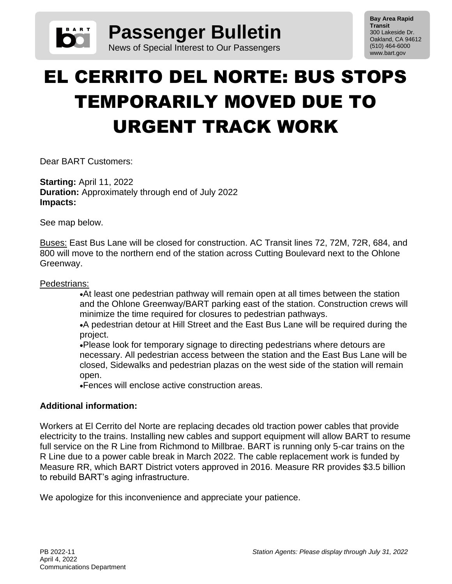

**Bay Area Rapid Transit** 300 Lakeside Dr. Oakland, CA 94612 (510) 464-6000 www.bart.gov

## EL CERRITO DEL NORTE: BUS STOPS TEMPORARILY MOVED DUE TO URGENT TRACK WORK

Dear BART Customers:

**Starting:** April 11, 2022 **Duration:** Approximately through end of July 2022 **Impacts:**

See map below.

Buses: East Bus Lane will be closed for construction. AC Transit lines 72, 72M, 72R, 684, and 800 will move to the northern end of the station across Cutting Boulevard next to the Ohlone Greenway.

## Pedestrians:

•At least one pedestrian pathway will remain open at all times between the station and the Ohlone Greenway/BART parking east of the station. Construction crews will minimize the time required for closures to pedestrian pathways.

•A pedestrian detour at Hill Street and the East Bus Lane will be required during the project.

•Please look for temporary signage to directing pedestrians where detours are necessary. All pedestrian access between the station and the East Bus Lane will be closed, Sidewalks and pedestrian plazas on the west side of the station will remain open.

•Fences will enclose active construction areas.

## **Additional information:**

Workers at El Cerrito del Norte are replacing decades old traction power cables that provide electricity to the trains. Installing new cables and support equipment will allow BART to resume full service on the R Line from Richmond to Millbrae. BART is running only 5-car trains on the R Line due to a power cable break in March 2022. The cable replacement work is funded by Measure RR, which BART District voters approved in 2016. Measure RR provides \$3.5 billion to rebuild BART's aging infrastructure.

We apologize for this inconvenience and appreciate your patience.